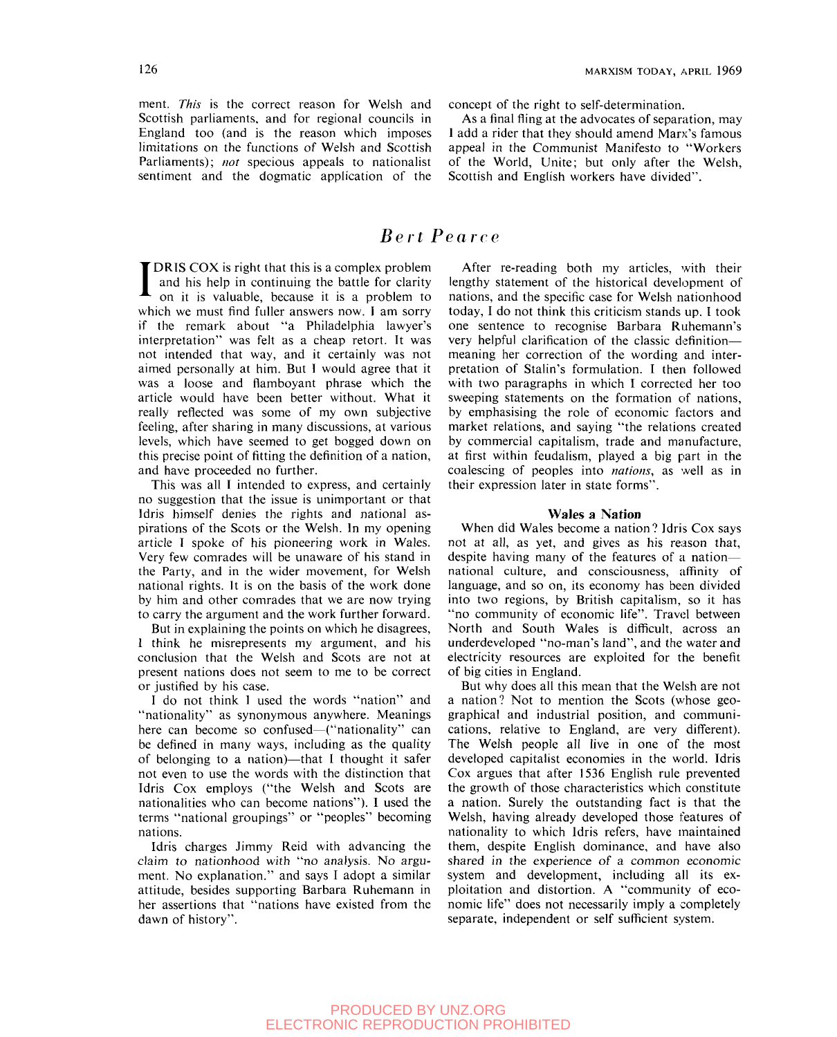ment. *This* is the correct reason for Welsh and Scottish parliaments, and for regional councils in England too (and is the reason which imposes limitations on the functions of Welsh and Scottish Parliaments); *not* specious appeals to nationalist sentiment and the dogmatic application of the

126 MARXISM TODAY, APRIL 1969

concept of the right to self-determination.

As a final fling at the advocates of separation, may 1 add a rider that they should amend Marx's famous appeal in the Communist Manifesto to "Workers of the World, Unite; but only after the Welsh, Scottish and English workers have divided".

# *Bert Pear re*

I DRIS COX is right that this is a complex problem and his help in continuing the battle for clarity on it is valuable, because it is a problem to which we must find fuller answers now. I am sorry if the remark about "a Philadelphia lawyer's interpretation" was felt as a cheap retort. It was not intended that way, and it certainly was not aimed personally at him. But I would agree that it was a loose and flamboyant phrase which the article would have been better without. What it really reflected was some of my own subjective feeling, after sharing in many discussions, at various levels, which have seemed to get bogged down on this precise point of fitting the definition of a nation, and have proceeded no further.

This was all I intended to express, and certainly no suggestion that the issue is unimportant or that Idris himself denies the rights and national aspirations of the Scots or the Welsh. In my opening article T spoke of his pioneering work in Wales. Very few comrades will be unaware of his stand in the Party, and in the wider movement, for Welsh national rights. It is on the basis of the work done by him and other comrades that we are now trying to carry the argument and the work further forward.

But in explaining the points on which he disagrees, 1 think he misrepresents my argument, and his conclusion that the Welsh and Scots are not at present nations does not seem to me to be correct or justified by his case.

I do not think I used the words "nation" and "nationality" as synonymous anywhere. Meanings here can become so confused—("nationality" can be defined in many ways, including as the quality of belonging to a nation)—that 1 thought it safer not even to use the words with the distinction that Idris Cox employs ("the Welsh and Scots are nationalities who can become nations"). 1 used the terms "national groupings" or "peoples" becoming nations.

Idris charges Jimmy Reid with advancing the claim to nationhood with "no analysis. No argument. No explanation." and says I adopt a similar attitude, besides supporting Barbara Ruhemann in her assertions that "nations have existed from the dawn of history".

After re-reading both my articles, with their lengthy statement of the historical development of nations, and the specific case for Welsh nationhood today, I do not think this criticism stands up. I took one sentence to recognise Barbara Ruhemann's very helpful clarification of the classic definition meaning her correction of the wording and interpretation of Stalin's formulation. I then followed with two paragraphs in which I corrected her too sweeping statements on the formation of nations, by emphasising the role of economic factors and market relations, and saying "the relations created by commercial capitalism, trade and manufacture, at first within feudalism, played a big part in the coalescing of peoples into *nations,* as well as in their expression later in state forms".

#### **Wales a Nation**

When did Wales become a nation? Idris Cox says not at all, as yet, and gives as his reason that, despite having many of the features of a nation national culture, and consciousness, affinity of language, and so on, its economy has been divided into two regions, by British capitalism, so it has "no community of economic life". Travel between North and South Wales is difficult, across an underdeveloped "no-man's land", and the water and electricity resources are exploited for the benefit of big cities in England.

But why does all this mean that the Welsh are not a nation? Not to mention the Scots (whose geographical and industrial position, and communications, relative to England, are very different). The Welsh people all live in one of the most developed capitalist economies in the world. Idris Cox argues that after 1536 English rule prevented the growth of those characteristics which constitute a nation. Surely the outstanding fact is that the Welsh, having already developed those features of nationality to which Idris refers, have maintained them, despite English dominance, and have also shared in the experience of a common economic system and development, including all its exploitation and distortion. A "community of economic life" does not necessarily imply a completely separate, independent or self sufficient system.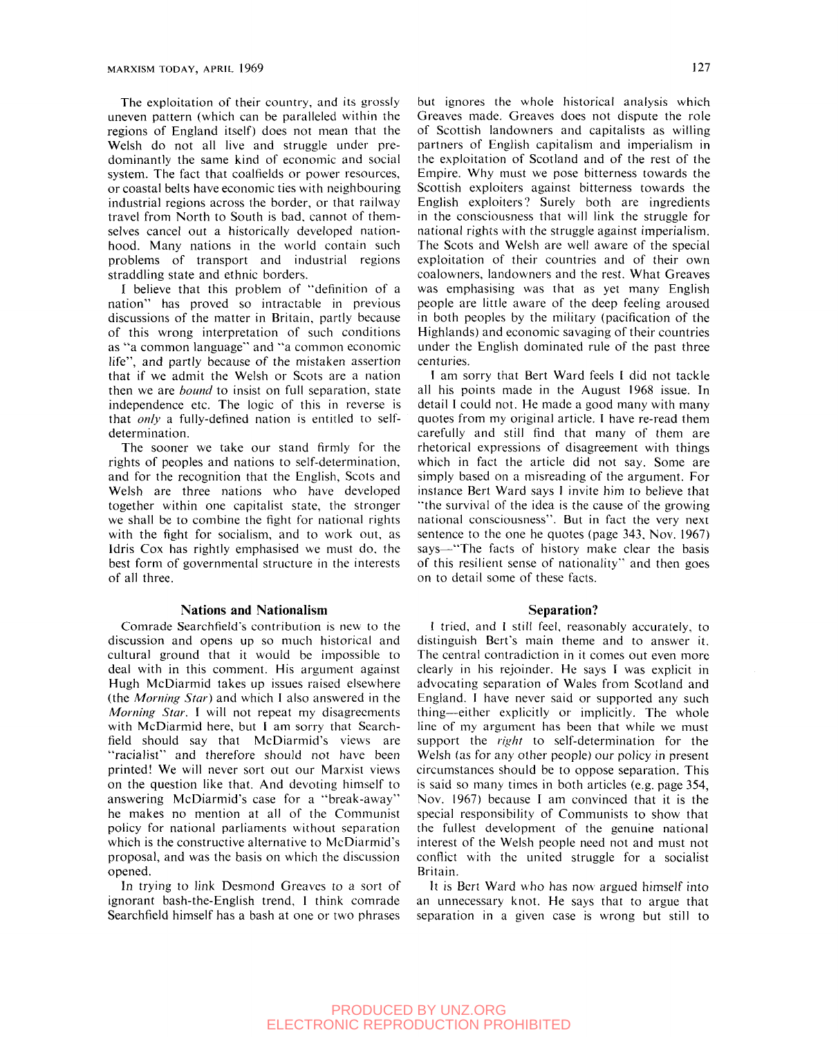The exploitation of their country, and its grossly uneven pattern (which can be paralleled within the regions of England itself) does not mean that the Welsh do not all live and struggle under predominantly the same kind of economic and social system. The fact that coalfields or power resources, or coastal belts have economic ties with neighbouring industrial regions across the border, or that railway travel from North to South is bad. cannot of themselves cancel out a historically developed nationhood. Many nations in the world contain such problems of transport and industrial regions straddling state and ethnic borders.

I believe that this problem of "definition of a nation" has proved so intractable in previous discussions of the matter in Britain, partly because of this wrong interpretation of such conditions as "a common language" and "'a common economic life", and partly because of the mistaken assertion that if we admit the Welsh or Scots are a nation then we are *bound* to insist on full separation, state independence etc. The logic of this in reverse is that *only* a fully-defined nation is entitled to selfdetermination.

The sooner we take our stand firmly for the rights of peoples and nations to self-determination, and for the recognition that the English, Scots and Welsh are three nations who have developed together within one capitalist state, the stronger we shall be to combine the fight for national rights with the fight for socialism, and to work out, as Idris Cox has rightly emphasised we must do, the best form of governmental structure in the interests of all three.

#### **Nations and Nationalism**

Comrade Searchfield"s contribution is new to the discussion and opens up so much historical and cultural ground that it would be impossible to deal with in this comment. His argument against Hugh McDiarmid takes up issues raised elsewhere (the *Morning Star)* and which 1 also answered in the *Morning Star.* I will not repeat my disagreements with McDiarmid here, but I am sorry that Searchfield should say that McDiarmid's views are "racialist" and therefore should not have been printed! We will never sort out our Marxist views on the question like that. And devoting himself to answering McDiarmid's case for a "break-away" he makes no mention at all of the Communist policy for national parliaments without separation which is the constructive alternative to McDiarmid's proposal, and was the basis on which the discussion opened.

In trying to link Desmond Greaves to a sort of ignorant bash-the-English trend, 1 think comrade Searchfield himself has a bash at one or two phrases

but ignores the whole historical analysis which Greaves made. Greaves does not dispute the role of Scottish landowners and capitalists as willing partners of English capitalism and imperialism in the exploitation of Scotland and of the rest of the Empire. Why must we pose bitterness towards the Scottish exploiters against bitterness towards the English exploiters? Surely both are ingredients in the consciousness that will link the struggle for national rights with the struggle against imperialism. The Scots and Welsh are well aware of the special exploitation of their countries and of their own coalowners, landowners and the rest. What Greaves was emphasising was that as yet many English people are little aware of the deep feeling aroused in both peoples by the military (pacification of the Highlands) and economic savaging of their countries under the English dominated rule of the past three centuries.

I am sorry that Bert Ward feels I did not tackle all his points made in the August 1968 issue. In detail 1 could not. He made a good many with many quotes from my original article. 1 have re-read them carefully and still find that many of them are rhetorical expressions of disagreement with things which in fact the article did not say. Some are simply based on a misreading of the argument. For instance Bert Ward says I invite him to believe that '"the survival of the idea is the cause of the growing national consciousness". But in fact the very next sentence to the one he quotes (page 343, Nov. 1967) says—"The facts of history make clear the basis of this resilient sense of nationality" and then goes on to detail some of these facts.

#### **Separation?**

! tried, and 1 still feel, reasonably accurately, to distinguish Bert's main theme and to answer it. The central contradiction in it comes out even more clearly in his rejoinder. He says I was explicit in advocating separation of Wales from Scotland and England. 1 have never said or supported any such thing—either explicitly or implicitly. The whole line of my argument has been that while we must support the *right* to self-determination for the Welsh (as for any other people) our policy in present circumstances should be to oppose separation. This is said so many times in both articles (e.g. page 354, Nov. 1967) because I am convinced that it is the special responsibility of Communists to show that the fullest development of the genuine national interest of the Welsh people need not and must not conflict with the united struggle for a socialist Britain.

It is Bert Ward who has now argued himself into an unnecessary knot. He says that to argue that separation in a given case is wrong but still to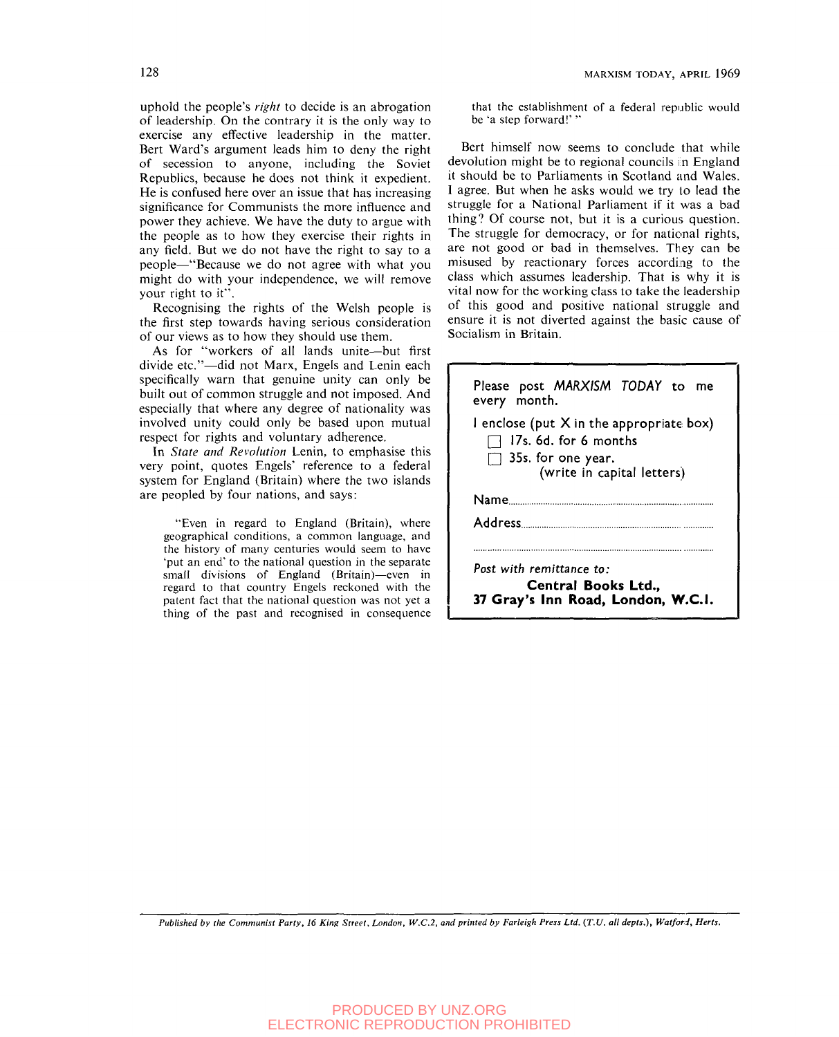uphold the people's *right* to decide is an abrogation of leadership. On the contrary it is the only way to exercise any effective leadership in the matter. Bert Ward's argument leads him to deny the right of secession to anyone, including the Soviet Republics, because he does not think it expedient. He is confused here over an issue that has increasing significance for Communists the more influence and power they achieve. We have the duty to argue with the people as to how they exercise their rights in any field. But we do not have the right to say to a people—"Because we do not agree with what you might do with your independence, we will remove your right to it".

Recognising the rights of the Welsh people is the first step towards having serious consideration of our views as to how they should use them.

As for "workers of all lands unite—but first divide etc."—did not Marx, Engels and Lenin each specifically warn that genuine unity can only be built out of common struggle and not imposed. And especially that where any degree of nationality was involved unity could only be based upon mutual respect for rights and voluntary adherence.

In *State and Revolution* Lenin, to emphasise this very point, quotes Engels' reference to a federal system for England (Britain) where the two islands are peopled by four nations, and says:

"Even in regard to England (Britain), where geographical conditions, a common language, and the history of many centuries would seem to have 'put an end' to the national question in the separate small divisions of England (Britain)—even in regard to that country Engels reckoned with the patent fact that the national question was not yet a thing of the past and recognised in consequence

that the establishment of a federal republic would be 'a step forward!' '

Bert himself now seems to conclude that while devolution might be to regional councils in England it should be to Parliaments in Scotland and Wales. 1 agree. But when he asks would we try to lead the struggle for a National Parliament if it was a bad thing? Of course not, but it is a curious question. The struggle for democracy, or for national rights, are not good or bad in themselves. They can be misused by reactionary forces according to the class which assumes leadership. That is why it is vital now for the working class to take the leadership of this good and positive national struggle and ensure it is not diverted against the basic cause of Socialism in Britain.

| Please post MARXISM TODAY to me<br>every month.                                                                              |
|------------------------------------------------------------------------------------------------------------------------------|
| I enclose (put X in the appropriate box)<br>17s. 6d. for 6 months<br>$\Box$ 35s. for one year.<br>(write in capital letters) |
| Name <b>Mammad</b>                                                                                                           |
|                                                                                                                              |
| Post with remittance to:<br>Central Books Ltd<br>37 Gray's Inn Road, London, W.C.I.                                          |

*Published by the Communist Party, 16 King Street. London, W.C.2, and printed by Farleigh Press Ltd. {T.U. all depts.), Watfori, Herts.*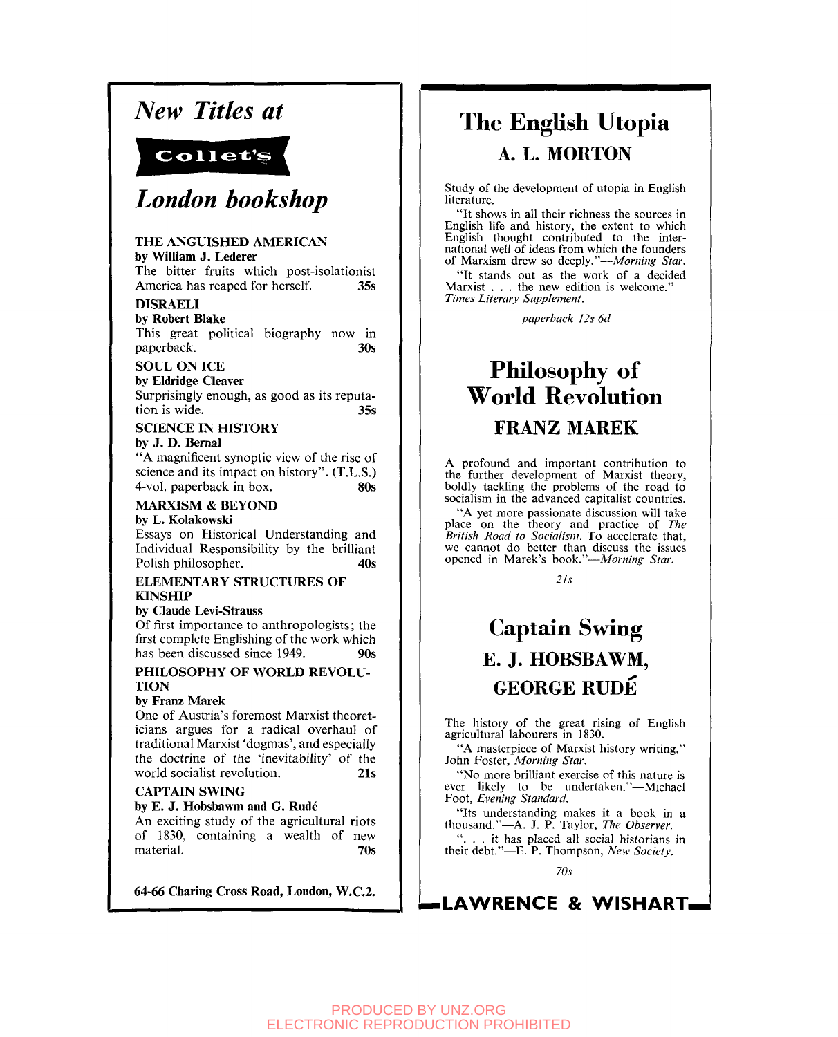# *New Titles at*



# *London bookshop*

#### **THE ANGUISHED AMERICAN by William J. Lederer**

The bitter fruits which post-isolationist America has reaped for herself. **35s** 

### **DISRAELI**

**by Robert Blake**  This great political biography now in paperback. **30s** 

## **SOUL ON ICE**

**by Eldridge Cleaver**  Surprisingly enough, as good as its reputation is wide. **35s** 

## **SCIENCE IN HISTORY**

**by J. D. Bernal** 

"A magnificent synoptic view of the rise of science and its impact on history". (T.L.S.) 4-vol. paperback in box. **80s** 

#### **MARXISM & BEYOND by L. Kolakowski**

Essays on Historical Understanding and Individual Responsibility by the brilliant Polish philosopher. 40s

#### **ELEMENTARY STRUCTURES OF KINSHIP**

### **by Claude Levi-Strauss**

Of first importance to anthropologists; the first complete Englishing of the work which has been discussed since 1949. 90s

#### **PHILOSOPHY OF WORLD REVOLU-TION**

### **by Franz Marek**

One of Austria's foremost Marxist theoreticians argues for a radical overhaul of traditional Marxist 'dogmas', and especially the doctrine of the 'inevitability' of the world socialist revolution. **21s** 

### **CAPTAIN SWING**

#### **by E. J. Hobsbawm and G. Rude**

An exciting study of the agricultural riots of 1830, containing a wealth of new material. **70s** 

**64-66 Charing Cross Road, London, W.C.2.** 

# The English Utopia A. L. MORTON

Study of the development of utopia in English literature.

"It shows in all their richness the sources in English life and history, the extent to which English thought contributed to the international well of ideas from which the founders of Marxism drew so deeply."—*Morning Star.* 

"It stands out as the work of a decided Marxist . . . the new edition is welcome."-*Times Literary Supplement.* 

*paperback 12s 6d* 

# Philosophy of **World Revolution** FRANZ MAREK

A profound and important contribution to the further development of Marxist theory, boldly tackling the problems of the road to socialism in the advanced capitalist countries.

"A yet more passionate discussion will take place on the theory and practice of *The British Road to Socialism.* To accelerate that, we cannot do better than discuss the issues opened in Marek's book."—*Morning Star.* 

*lis* 

# Captain Swing E. J. HOBSBAWM, GEORGE RUDE

The history of the great rising of English agricultural labourers in 1830.

"A masterpiece of Marxist history writing." John Foster, *Morning Star.* 

"No more brilliant exercise of this nature is ever likely to be undertaken."—Michael Foot, *Evening Standard.* 

"Its understanding makes it a book in a thousand."—A. J. P. Taylor, *The Observer.* 

". . . it has placed all social historians in their debt."—E. P. Thompson, *New Society.* 

*70s* 

# **^LAWRENCE & WISHART .**